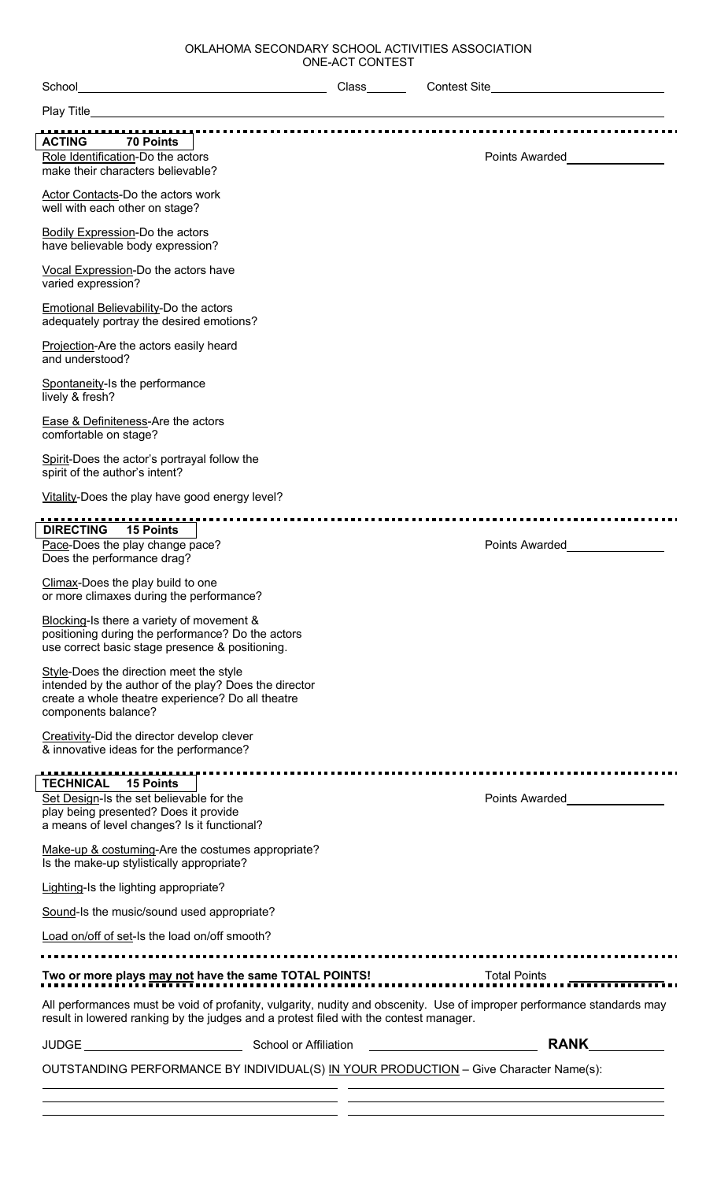OKLAHOMA SECONDARY SCHOOL ACTIVITIES ASSOCIATION ONE-ACT CONTEST

| School<br><u> 1980 - Johann Barn, mars eta bainar eta baina eta baina eta baina eta baina eta baina eta baina eta baina e</u>                                                                                   | Class | <b>Contest Site</b>                                                                                                                                                                                                                    |
|-----------------------------------------------------------------------------------------------------------------------------------------------------------------------------------------------------------------|-------|----------------------------------------------------------------------------------------------------------------------------------------------------------------------------------------------------------------------------------------|
|                                                                                                                                                                                                                 |       |                                                                                                                                                                                                                                        |
| <b>ACTING</b><br><b>70 Points</b>                                                                                                                                                                               |       |                                                                                                                                                                                                                                        |
| Role Identification-Do the actors                                                                                                                                                                               |       | Points Awarded<br><u>Letter and the set of the set of the set of the set of the set of the set of the set of the set of the set of the set of the set of the set of the set of the set of the set of the set of the set of the set</u> |
| make their characters believable?                                                                                                                                                                               |       |                                                                                                                                                                                                                                        |
| Actor Contacts-Do the actors work<br>well with each other on stage?                                                                                                                                             |       |                                                                                                                                                                                                                                        |
| <b>Bodily Expression-Do the actors</b><br>have believable body expression?                                                                                                                                      |       |                                                                                                                                                                                                                                        |
| Vocal Expression-Do the actors have<br>varied expression?                                                                                                                                                       |       |                                                                                                                                                                                                                                        |
| Emotional Believability-Do the actors<br>adequately portray the desired emotions?                                                                                                                               |       |                                                                                                                                                                                                                                        |
| Projection-Are the actors easily heard<br>and understood?                                                                                                                                                       |       |                                                                                                                                                                                                                                        |
| Spontaneity-Is the performance<br>lively & fresh?                                                                                                                                                               |       |                                                                                                                                                                                                                                        |
| Ease & Definiteness-Are the actors<br>comfortable on stage?                                                                                                                                                     |       |                                                                                                                                                                                                                                        |
| Spirit-Does the actor's portrayal follow the<br>spirit of the author's intent?                                                                                                                                  |       |                                                                                                                                                                                                                                        |
| Vitality-Does the play have good energy level?                                                                                                                                                                  |       |                                                                                                                                                                                                                                        |
|                                                                                                                                                                                                                 |       |                                                                                                                                                                                                                                        |
| <b>DIRECTING</b><br><b>15 Points</b><br>Pace-Does the play change pace?                                                                                                                                         |       | Points Awarded <b>No. 1996</b>                                                                                                                                                                                                         |
| Does the performance drag?                                                                                                                                                                                      |       |                                                                                                                                                                                                                                        |
| Climax-Does the play build to one<br>or more climaxes during the performance?                                                                                                                                   |       |                                                                                                                                                                                                                                        |
| Blocking-Is there a variety of movement &<br>positioning during the performance? Do the actors<br>use correct basic stage presence & positioning.                                                               |       |                                                                                                                                                                                                                                        |
| Style-Does the direction meet the style<br>intended by the author of the play? Does the director<br>create a whole theatre experience? Do all theatre<br>components balance?                                    |       |                                                                                                                                                                                                                                        |
| Creativity-Did the director develop clever<br>& innovative ideas for the performance?                                                                                                                           |       |                                                                                                                                                                                                                                        |
| <u>.</u><br><b>TECHNICAL</b><br><b>15 Points</b>                                                                                                                                                                |       |                                                                                                                                                                                                                                        |
| Set Design-Is the set believable for the                                                                                                                                                                        |       | <b>Points Awarded</b>                                                                                                                                                                                                                  |
| play being presented? Does it provide<br>a means of level changes? Is it functional?                                                                                                                            |       |                                                                                                                                                                                                                                        |
| Make-up & costuming-Are the costumes appropriate?<br>Is the make-up stylistically appropriate?                                                                                                                  |       |                                                                                                                                                                                                                                        |
| Lighting-Is the lighting appropriate?                                                                                                                                                                           |       |                                                                                                                                                                                                                                        |
| Sound-Is the music/sound used appropriate?                                                                                                                                                                      |       |                                                                                                                                                                                                                                        |
| Load on/off of set-Is the load on/off smooth?                                                                                                                                                                   |       |                                                                                                                                                                                                                                        |
|                                                                                                                                                                                                                 |       |                                                                                                                                                                                                                                        |
|                                                                                                                                                                                                                 |       | Total Points ____                                                                                                                                                                                                                      |
| All performances must be void of profanity, vulgarity, nudity and obscenity. Use of improper performance standards may<br>result in lowered ranking by the judges and a protest filed with the contest manager. |       |                                                                                                                                                                                                                                        |
| JUDGE <b>School or Affiliation</b>                                                                                                                                                                              |       | <b>RANK</b>                                                                                                                                                                                                                            |
| OUTSTANDING PERFORMANCE BY INDIVIDUAL(S) IN YOUR PRODUCTION - Give Character Name(s):                                                                                                                           |       |                                                                                                                                                                                                                                        |